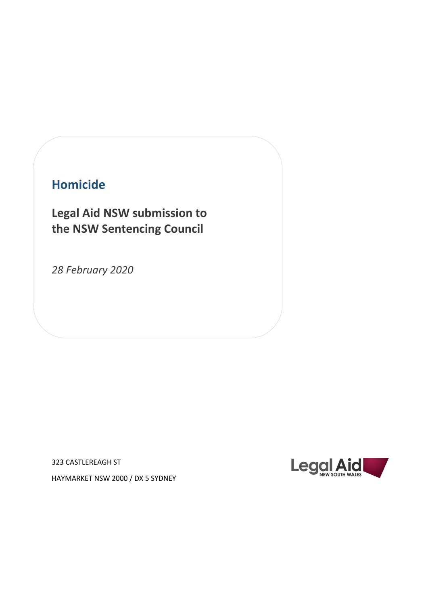# **Homicide**

**Legal Aid NSW submission to the NSW Sentencing Council**

*28 February 2020*

323 CASTLEREAGH ST



HAYMARKET NSW 2000 / DX 5 SYDNEY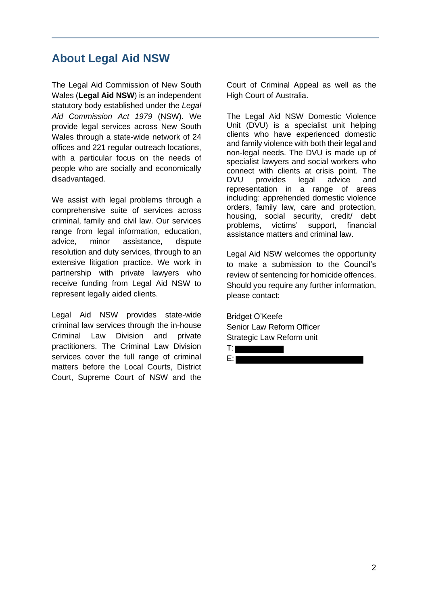## **About Legal Aid NSW**

The Legal Aid Commission of New South Wales (**Legal Aid NSW**) is an independent statutory body established under the *Legal Aid Commission Act 1979* (NSW). We provide legal services across New South Wales through a state-wide network of 24 offices and 221 regular outreach locations, with a particular focus on the needs of people who are socially and economically disadvantaged.

We assist with legal problems through a comprehensive suite of services across criminal, family and civil law. Our services range from legal information, education, advice, minor assistance, dispute resolution and duty services, through to an extensive litigation practice. We work in partnership with private lawyers who receive funding from Legal Aid NSW to represent legally aided clients.

Legal Aid NSW provides state-wide criminal law services through the in-house Criminal Law Division and private practitioners. The Criminal Law Division services cover the full range of criminal matters before the Local Courts, District Court, Supreme Court of NSW and the

Court of Criminal Appeal as well as the High Court of Australia.

The Legal Aid NSW Domestic Violence Unit (DVU) is a specialist unit helping clients who have experienced domestic and family violence with both their legal and non-legal needs. The DVU is made up of specialist lawyers and social workers who connect with clients at crisis point. The DVU provides legal advice and representation in a range of areas including: apprehended domestic violence orders, family law, care and protection, housing, social security, credit/ debt problems, victims' support, financial assistance matters and criminal law.

Legal Aid NSW welcomes the opportunity to make a submission to the Council's review of sentencing for homicide offences. Should you require any further information, please contact:

Bridget O'Keefe Senior Law Reform Officer Strategic Law Reform unit

T: E: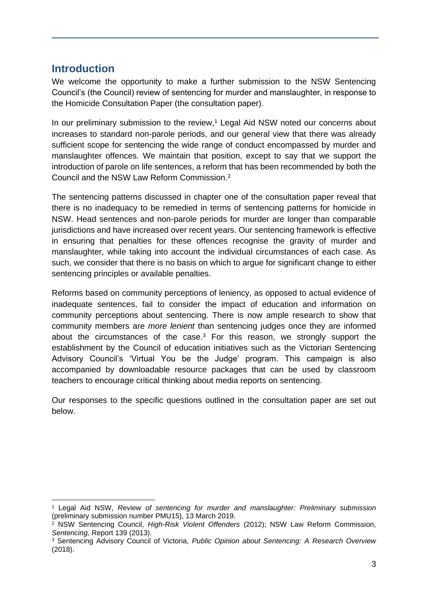## **Introduction**

We welcome the opportunity to make a further submission to the NSW Sentencing Council's (the Council) review of sentencing for murder and manslaughter, in response to the Homicide Consultation Paper (the consultation paper).

In our preliminary submission to the review,<sup>1</sup> Legal Aid NSW noted our concerns about increases to standard non-parole periods, and our general view that there was already sufficient scope for sentencing the wide range of conduct encompassed by murder and manslaughter offences. We maintain that position, except to say that we support the introduction of parole on life sentences, a reform that has been recommended by both the Council and the NSW Law Reform Commission. 2

The sentencing patterns discussed in chapter one of the consultation paper reveal that there is no inadequacy to be remedied in terms of sentencing patterns for homicide in NSW. Head sentences and non-parole periods for murder are longer than comparable jurisdictions and have increased over recent years. Our sentencing framework is effective in ensuring that penalties for these offences recognise the gravity of murder and manslaughter, while taking into account the individual circumstances of each case. As such, we consider that there is no basis on which to argue for significant change to either sentencing principles or available penalties.

Reforms based on community perceptions of leniency, as opposed to actual evidence of inadequate sentences, fail to consider the impact of education and information on community perceptions about sentencing. There is now ample research to show that community members are *more lenient* than sentencing judges once they are informed about the circumstances of the case.<sup>3</sup> For this reason, we strongly support the establishment by the Council of education initiatives such as the Victorian Sentencing Advisory Council's 'Virtual You be the Judge' program. This campaign is also accompanied by downloadable resource packages that can be used by classroom teachers to encourage critical thinking about media reports on sentencing.

Our responses to the specific questions outlined in the consultation paper are set out below.

<sup>1</sup> Legal Aid NSW, *Review of sentencing for murder and manslaughter: Preliminary submission*  (preliminary submission number PMU15), 13 March 2019.

<sup>2</sup> NSW Sentencing Council, *High-Risk Violent Offenders* (2012); NSW Law Reform Commission, *Sentencing,* Report 139 (2013).

<sup>3</sup> Sentencing Advisory Council of Victoria, *Public Opinion about Sentencing: A Research Overview* (2018).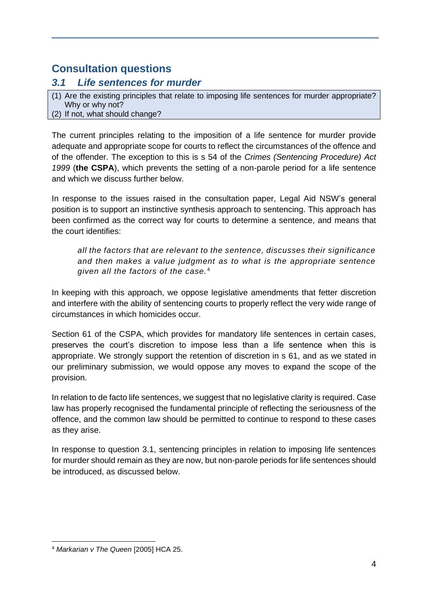## **Consultation questions**

## *3.1 Life sentences for murder*

(1) Are the existing principles that relate to imposing life sentences for murder appropriate? Why or why not? (2) If not, what should change?

The current principles relating to the imposition of a life sentence for murder provide adequate and appropriate scope for courts to reflect the circumstances of the offence and of the offender. The exception to this is s 54 of the *Crimes (Sentencing Procedure) Act 1999* (**the CSPA**), which prevents the setting of a non-parole period for a life sentence and which we discuss further below.

In response to the issues raised in the consultation paper, Legal Aid NSW's general position is to support an instinctive synthesis approach to sentencing. This approach has been confirmed as the correct way for courts to determine a sentence, and means that the court identifies:

*all the factors that are relevant to the sentence, discusses their significance and then makes a value judgment as to what is the appropriate sentence given all the factors of the case.* <sup>4</sup>

In keeping with this approach, we oppose legislative amendments that fetter discretion and interfere with the ability of sentencing courts to properly reflect the very wide range of circumstances in which homicides occur.

Section 61 of the CSPA, which provides for mandatory life sentences in certain cases, preserves the court's discretion to impose less than a life sentence when this is appropriate. We strongly support the retention of discretion in s 61, and as we stated in our preliminary submission, we would oppose any moves to expand the scope of the provision.

In relation to de facto life sentences, we suggest that no legislative clarity is required. Case law has properly recognised the fundamental principle of reflecting the seriousness of the offence, and the common law should be permitted to continue to respond to these cases as they arise.

In response to question 3.1, sentencing principles in relation to imposing life sentences for murder should remain as they are now, but non-parole periods for life sentences should be introduced, as discussed below.

<sup>4</sup> *Markarian v The Queen* [2005] HCA 25.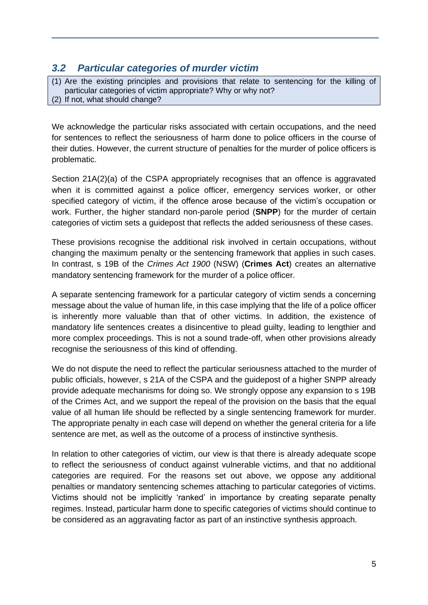## *3.2 Particular categories of murder victim*

(1) Are the existing principles and provisions that relate to sentencing for the killing of particular categories of victim appropriate? Why or why not? (2) If not, what should change?

We acknowledge the particular risks associated with certain occupations, and the need for sentences to reflect the seriousness of harm done to police officers in the course of their duties. However, the current structure of penalties for the murder of police officers is problematic.

Section 21A(2)(a) of the CSPA appropriately recognises that an offence is aggravated when it is committed against a police officer, emergency services worker, or other specified category of victim, if the offence arose because of the victim's occupation or work. Further, the higher standard non-parole period (**SNPP**) for the murder of certain categories of victim sets a guidepost that reflects the added seriousness of these cases.

These provisions recognise the additional risk involved in certain occupations, without changing the maximum penalty or the sentencing framework that applies in such cases. In contrast, s 19B of the *Crimes Act 1900* (NSW) (**Crimes Act**) creates an alternative mandatory sentencing framework for the murder of a police officer.

A separate sentencing framework for a particular category of victim sends a concerning message about the value of human life, in this case implying that the life of a police officer is inherently more valuable than that of other victims. In addition, the existence of mandatory life sentences creates a disincentive to plead guilty, leading to lengthier and more complex proceedings. This is not a sound trade-off, when other provisions already recognise the seriousness of this kind of offending.

We do not dispute the need to reflect the particular seriousness attached to the murder of public officials, however, s 21A of the CSPA and the guidepost of a higher SNPP already provide adequate mechanisms for doing so. We strongly oppose any expansion to s 19B of the Crimes Act, and we support the repeal of the provision on the basis that the equal value of all human life should be reflected by a single sentencing framework for murder. The appropriate penalty in each case will depend on whether the general criteria for a life sentence are met, as well as the outcome of a process of instinctive synthesis.

In relation to other categories of victim, our view is that there is already adequate scope to reflect the seriousness of conduct against vulnerable victims, and that no additional categories are required. For the reasons set out above, we oppose any additional penalties or mandatory sentencing schemes attaching to particular categories of victims. Victims should not be implicitly 'ranked' in importance by creating separate penalty regimes. Instead, particular harm done to specific categories of victims should continue to be considered as an aggravating factor as part of an instinctive synthesis approach.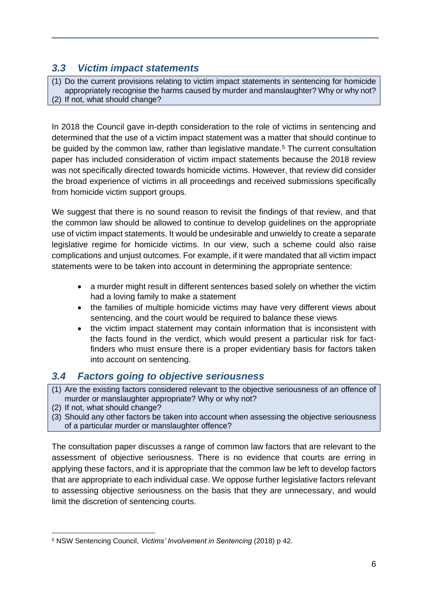## *3.3 Victim impact statements*

(1) Do the current provisions relating to victim impact statements in sentencing for homicide appropriately recognise the harms caused by murder and manslaughter? Why or why not? (2) If not, what should change?

In 2018 the Council gave in-depth consideration to the role of victims in sentencing and determined that the use of a victim impact statement was a matter that should continue to be quided by the common law, rather than legislative mandate.<sup>5</sup> The current consultation paper has included consideration of victim impact statements because the 2018 review was not specifically directed towards homicide victims. However, that review did consider the broad experience of victims in all proceedings and received submissions specifically from homicide victim support groups.

We suggest that there is no sound reason to revisit the findings of that review, and that the common law should be allowed to continue to develop guidelines on the appropriate use of victim impact statements. It would be undesirable and unwieldy to create a separate legislative regime for homicide victims. In our view, such a scheme could also raise complications and unjust outcomes. For example, if it were mandated that all victim impact statements were to be taken into account in determining the appropriate sentence:

- a murder might result in different sentences based solely on whether the victim had a loving family to make a statement
- the families of multiple homicide victims may have very different views about sentencing, and the court would be required to balance these views
- the victim impact statement may contain information that is inconsistent with the facts found in the verdict, which would present a particular risk for factfinders who must ensure there is a proper evidentiary basis for factors taken into account on sentencing.

## *3.4 Factors going to objective seriousness*

- (1) Are the existing factors considered relevant to the objective seriousness of an offence of murder or manslaughter appropriate? Why or why not?
- (2) If not, what should change?
- (3) Should any other factors be taken into account when assessing the objective seriousness of a particular murder or manslaughter offence?

The consultation paper discusses a range of common law factors that are relevant to the assessment of objective seriousness. There is no evidence that courts are erring in applying these factors, and it is appropriate that the common law be left to develop factors that are appropriate to each individual case. We oppose further legislative factors relevant to assessing objective seriousness on the basis that they are unnecessary, and would limit the discretion of sentencing courts.

<sup>5</sup> NSW Sentencing Council, *Victims' Involvement in Sentencing* (2018) p 42.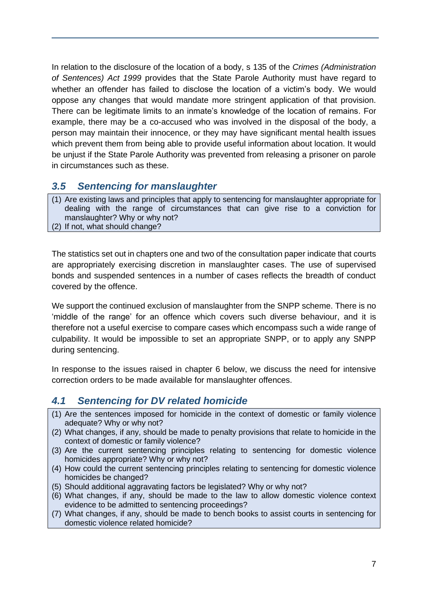In relation to the disclosure of the location of a body, s 135 of the *Crimes (Administration of Sentences) Act 1999* provides that the State Parole Authority must have regard to whether an offender has failed to disclose the location of a victim's body. We would oppose any changes that would mandate more stringent application of that provision. There can be legitimate limits to an inmate's knowledge of the location of remains. For example, there may be a co-accused who was involved in the disposal of the body, a person may maintain their innocence, or they may have significant mental health issues which prevent them from being able to provide useful information about location. It would be unjust if the State Parole Authority was prevented from releasing a prisoner on parole in circumstances such as these.

## *3.5 Sentencing for manslaughter*

(1) Are existing laws and principles that apply to sentencing for manslaughter appropriate for dealing with the range of circumstances that can give rise to a conviction for manslaughter? Why or why not? (2) If not, what should change?

The statistics set out in chapters one and two of the consultation paper indicate that courts are appropriately exercising discretion in manslaughter cases. The use of supervised bonds and suspended sentences in a number of cases reflects the breadth of conduct covered by the offence.

We support the continued exclusion of manslaughter from the SNPP scheme. There is no 'middle of the range' for an offence which covers such diverse behaviour, and it is therefore not a useful exercise to compare cases which encompass such a wide range of culpability. It would be impossible to set an appropriate SNPP, or to apply any SNPP during sentencing.

In response to the issues raised in chapter 6 below, we discuss the need for intensive correction orders to be made available for manslaughter offences.

## *4.1 Sentencing for DV related homicide*

- (1) Are the sentences imposed for homicide in the context of domestic or family violence adequate? Why or why not?
- (2) What changes, if any, should be made to penalty provisions that relate to homicide in the context of domestic or family violence?
- (3) Are the current sentencing principles relating to sentencing for domestic violence homicides appropriate? Why or why not?
- (4) How could the current sentencing principles relating to sentencing for domestic violence homicides be changed?
- (5) Should additional aggravating factors be legislated? Why or why not?
- (6) What changes, if any, should be made to the law to allow domestic violence context evidence to be admitted to sentencing proceedings?
- (7) What changes, if any, should be made to bench books to assist courts in sentencing for domestic violence related homicide?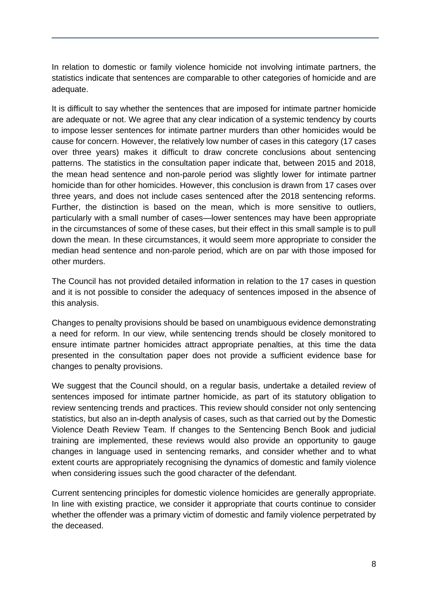In relation to domestic or family violence homicide not involving intimate partners, the statistics indicate that sentences are comparable to other categories of homicide and are adequate.

It is difficult to say whether the sentences that are imposed for intimate partner homicide are adequate or not. We agree that any clear indication of a systemic tendency by courts to impose lesser sentences for intimate partner murders than other homicides would be cause for concern. However, the relatively low number of cases in this category (17 cases over three years) makes it difficult to draw concrete conclusions about sentencing patterns. The statistics in the consultation paper indicate that, between 2015 and 2018, the mean head sentence and non-parole period was slightly lower for intimate partner homicide than for other homicides. However, this conclusion is drawn from 17 cases over three years, and does not include cases sentenced after the 2018 sentencing reforms. Further, the distinction is based on the mean, which is more sensitive to outliers, particularly with a small number of cases—lower sentences may have been appropriate in the circumstances of some of these cases, but their effect in this small sample is to pull down the mean. In these circumstances, it would seem more appropriate to consider the median head sentence and non-parole period, which are on par with those imposed for other murders.

The Council has not provided detailed information in relation to the 17 cases in question and it is not possible to consider the adequacy of sentences imposed in the absence of this analysis.

Changes to penalty provisions should be based on unambiguous evidence demonstrating a need for reform. In our view, while sentencing trends should be closely monitored to ensure intimate partner homicides attract appropriate penalties, at this time the data presented in the consultation paper does not provide a sufficient evidence base for changes to penalty provisions.

We suggest that the Council should, on a regular basis, undertake a detailed review of sentences imposed for intimate partner homicide, as part of its statutory obligation to review sentencing trends and practices. This review should consider not only sentencing statistics, but also an in-depth analysis of cases, such as that carried out by the Domestic Violence Death Review Team. If changes to the Sentencing Bench Book and judicial training are implemented, these reviews would also provide an opportunity to gauge changes in language used in sentencing remarks, and consider whether and to what extent courts are appropriately recognising the dynamics of domestic and family violence when considering issues such the good character of the defendant.

Current sentencing principles for domestic violence homicides are generally appropriate. In line with existing practice, we consider it appropriate that courts continue to consider whether the offender was a primary victim of domestic and family violence perpetrated by the deceased.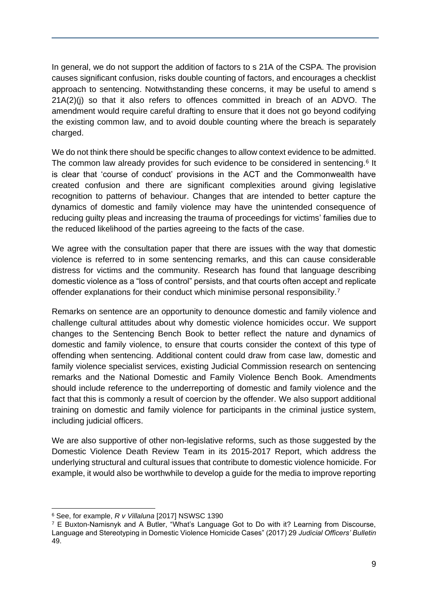In general, we do not support the addition of factors to s 21A of the CSPA. The provision causes significant confusion, risks double counting of factors, and encourages a checklist approach to sentencing. Notwithstanding these concerns, it may be useful to amend s 21A(2)(j) so that it also refers to offences committed in breach of an ADVO. The amendment would require careful drafting to ensure that it does not go beyond codifying the existing common law, and to avoid double counting where the breach is separately charged.

We do not think there should be specific changes to allow context evidence to be admitted. The common law already provides for such evidence to be considered in sentencing.<sup>6</sup> It is clear that 'course of conduct' provisions in the ACT and the Commonwealth have created confusion and there are significant complexities around giving legislative recognition to patterns of behaviour. Changes that are intended to better capture the dynamics of domestic and family violence may have the unintended consequence of reducing guilty pleas and increasing the trauma of proceedings for victims' families due to the reduced likelihood of the parties agreeing to the facts of the case.

We agree with the consultation paper that there are issues with the way that domestic violence is referred to in some sentencing remarks, and this can cause considerable distress for victims and the community. Research has found that language describing domestic violence as a "loss of control" persists, and that courts often accept and replicate offender explanations for their conduct which minimise personal responsibility.<sup>7</sup>

Remarks on sentence are an opportunity to denounce domestic and family violence and challenge cultural attitudes about why domestic violence homicides occur. We support changes to the Sentencing Bench Book to better reflect the nature and dynamics of domestic and family violence, to ensure that courts consider the context of this type of offending when sentencing. Additional content could draw from case law, domestic and family violence specialist services, existing Judicial Commission research on sentencing remarks and the National Domestic and Family Violence Bench Book. Amendments should include reference to the underreporting of domestic and family violence and the fact that this is commonly a result of coercion by the offender. We also support additional training on domestic and family violence for participants in the criminal justice system, including judicial officers.

We are also supportive of other non-legislative reforms, such as those suggested by the Domestic Violence Death Review Team in its 2015-2017 Report, which address the underlying structural and cultural issues that contribute to domestic violence homicide. For example, it would also be worthwhile to develop a guide for the media to improve reporting

<sup>6</sup> See, for example, *R v Villaluna* [2017] NSWSC 1390

<sup>7</sup> E Buxton-Namisnyk and A Butler, "What's Language Got to Do with it? Learning from Discourse, Language and Stereotyping in Domestic Violence Homicide Cases" (2017) 29 *Judicial Officers' Bulletin* 49.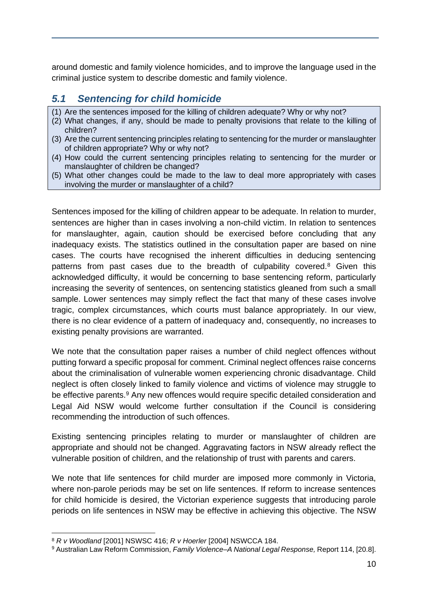around domestic and family violence homicides, and to improve the language used in the criminal justice system to describe domestic and family violence.

## *5.1 Sentencing for child homicide*

- (1) Are the sentences imposed for the killing of children adequate? Why or why not?
- (2) What changes, if any, should be made to penalty provisions that relate to the killing of children?
- (3) Are the current sentencing principles relating to sentencing for the murder or manslaughter of children appropriate? Why or why not?
- (4) How could the current sentencing principles relating to sentencing for the murder or manslaughter of children be changed?
- (5) What other changes could be made to the law to deal more appropriately with cases involving the murder or manslaughter of a child?

Sentences imposed for the killing of children appear to be adequate. In relation to murder, sentences are higher than in cases involving a non-child victim. In relation to sentences for manslaughter, again, caution should be exercised before concluding that any inadequacy exists. The statistics outlined in the consultation paper are based on nine cases. The courts have recognised the inherent difficulties in deducing sentencing patterns from past cases due to the breadth of culpability covered.<sup>8</sup> Given this acknowledged difficulty, it would be concerning to base sentencing reform, particularly increasing the severity of sentences, on sentencing statistics gleaned from such a small sample. Lower sentences may simply reflect the fact that many of these cases involve tragic, complex circumstances, which courts must balance appropriately. In our view, there is no clear evidence of a pattern of inadequacy and, consequently, no increases to existing penalty provisions are warranted.

We note that the consultation paper raises a number of child neglect offences without putting forward a specific proposal for comment. Criminal neglect offences raise concerns about the criminalisation of vulnerable women experiencing chronic disadvantage. Child neglect is often closely linked to family violence and victims of violence may struggle to be effective parents.<sup>9</sup> Any new offences would require specific detailed consideration and Legal Aid NSW would welcome further consultation if the Council is considering recommending the introduction of such offences.

Existing sentencing principles relating to murder or manslaughter of children are appropriate and should not be changed. Aggravating factors in NSW already reflect the vulnerable position of children, and the relationship of trust with parents and carers.

We note that life sentences for child murder are imposed more commonly in Victoria, where non-parole periods may be set on life sentences. If reform to increase sentences for child homicide is desired, the Victorian experience suggests that introducing parole periods on life sentences in NSW may be effective in achieving this objective. The NSW

<sup>8</sup> *R v Woodland* [2001] NSWSC 416; *R v Hoerler* [2004] NSWCCA 184.

<sup>9</sup> Australian Law Reform Commission, *Family Violence–A National Legal Response,* Report 114, [20.8].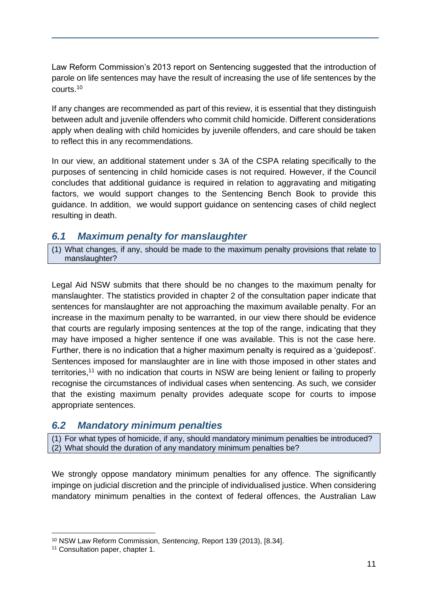Law Reform Commission's 2013 report on Sentencing suggested that the introduction of parole on life sentences may have the result of increasing the use of life sentences by the courts.<sup>10</sup>

If any changes are recommended as part of this review, it is essential that they distinguish between adult and juvenile offenders who commit child homicide. Different considerations apply when dealing with child homicides by juvenile offenders, and care should be taken to reflect this in any recommendations.

In our view, an additional statement under s 3A of the CSPA relating specifically to the purposes of sentencing in child homicide cases is not required. However, if the Council concludes that additional guidance is required in relation to aggravating and mitigating factors, we would support changes to the Sentencing Bench Book to provide this guidance. In addition, we would support guidance on sentencing cases of child neglect resulting in death.

## *6.1 Maximum penalty for manslaughter*

(1) What changes, if any, should be made to the maximum penalty provisions that relate to manslaughter?

Legal Aid NSW submits that there should be no changes to the maximum penalty for manslaughter. The statistics provided in chapter 2 of the consultation paper indicate that sentences for manslaughter are not approaching the maximum available penalty. For an increase in the maximum penalty to be warranted, in our view there should be evidence that courts are regularly imposing sentences at the top of the range, indicating that they may have imposed a higher sentence if one was available. This is not the case here. Further, there is no indication that a higher maximum penalty is required as a 'guidepost'. Sentences imposed for manslaughter are in line with those imposed in other states and territories,<sup>11</sup> with no indication that courts in NSW are being lenient or failing to properly recognise the circumstances of individual cases when sentencing. As such, we consider that the existing maximum penalty provides adequate scope for courts to impose appropriate sentences.

#### *6.2 Mandatory minimum penalties*

(1) For what types of homicide, if any, should mandatory minimum penalties be introduced? (2) What should the duration of any mandatory minimum penalties be?

We strongly oppose mandatory minimum penalties for any offence. The significantly impinge on judicial discretion and the principle of individualised justice. When considering mandatory minimum penalties in the context of federal offences, the Australian Law

<sup>10</sup> NSW Law Reform Commission, *Sentencing*, Report 139 (2013), [8.34].

<sup>11</sup> Consultation paper, chapter 1.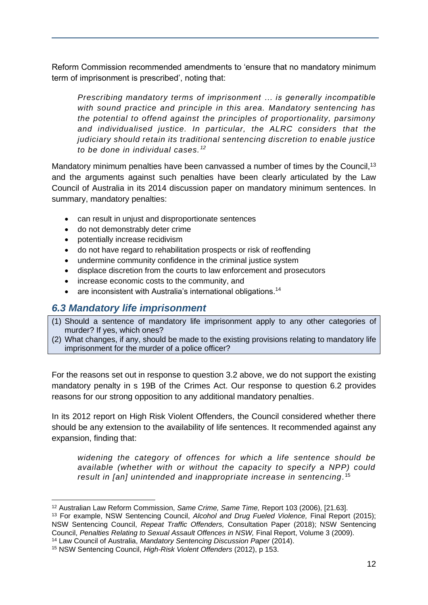Reform Commission recommended amendments to 'ensure that no mandatory minimum term of imprisonment is prescribed', noting that:

*Prescribing mandatory terms of imprisonment … is generally incompatible with sound practice and principle in this area. Mandatory sentencing has the potential to offend against the principles of proportionality, parsimony and individualised justice. In particular, the ALRC considers that the judiciary should retain its traditional sentencing discretion to enable justice to be done in individual cases. <sup>12</sup>*

Mandatory minimum penalties have been canvassed a number of times by the Council,<sup>13</sup> and the arguments against such penalties have been clearly articulated by the Law Council of Australia in its 2014 discussion paper on mandatory minimum sentences. In summary, mandatory penalties:

- can result in unjust and disproportionate sentences
- do not demonstrably deter crime
- potentially increase recidivism
- do not have regard to rehabilitation prospects or risk of reoffending
- undermine community confidence in the criminal justice system
- displace discretion from the courts to law enforcement and prosecutors
- increase economic costs to the community, and
- are inconsistent with Australia's international obligations.<sup>14</sup>

#### *6.3 Mandatory life imprisonment*

- (1) Should a sentence of mandatory life imprisonment apply to any other categories of murder? If yes, which ones?
- (2) What changes, if any, should be made to the existing provisions relating to mandatory life imprisonment for the murder of a police officer?

For the reasons set out in response to question 3.2 above, we do not support the existing mandatory penalty in s 19B of the Crimes Act. Our response to question 6.2 provides reasons for our strong opposition to any additional mandatory penalties.

In its 2012 report on High Risk Violent Offenders, the Council considered whether there should be any extension to the availability of life sentences. It recommended against any expansion, finding that:

*widening the category of offences for which a life sentence should be available (whether with or without the capacity to specify a NPP) could result in [an] unintended and inappropriate increase in sentencing.* 15

<sup>12</sup> Australian Law Reform Commission, *Same Crime, Same Time,* Report 103 (2006), [21.63].

<sup>13</sup> For example, NSW Sentencing Council, *Alcohol and Drug Fueled Violence,* Final Report (2015); NSW Sentencing Council, *Repeat Traffic Offenders*, Consultation Paper (2018); NSW Sentencing Council, *Penalties Relating to Sexual Assault Offences in NSW,* Final Report, Volume 3 (2009).

<sup>14</sup> Law Council of Australia, *Mandatory Sentencing Discussion Paper* (2014).

<sup>15</sup> NSW Sentencing Council, *High-Risk Violent Offenders* (2012), p 153.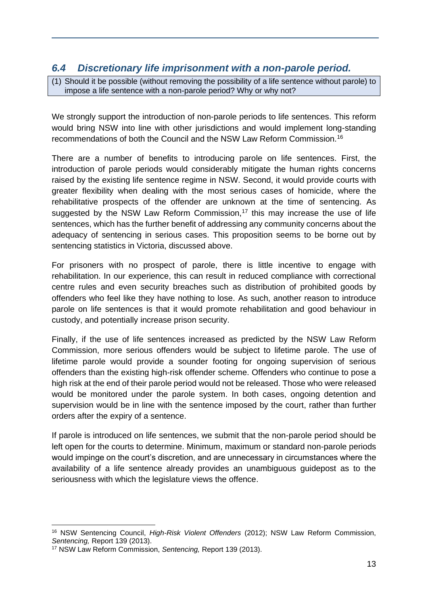## *6.4 Discretionary life imprisonment with a non-parole period.*

(1) Should it be possible (without removing the possibility of a life sentence without parole) to impose a life sentence with a non-parole period? Why or why not?

We strongly support the introduction of non-parole periods to life sentences. This reform would bring NSW into line with other jurisdictions and would implement long-standing recommendations of both the Council and the NSW Law Reform Commission.<sup>16</sup>

There are a number of benefits to introducing parole on life sentences. First, the introduction of parole periods would considerably mitigate the human rights concerns raised by the existing life sentence regime in NSW. Second, it would provide courts with greater flexibility when dealing with the most serious cases of homicide, where the rehabilitative prospects of the offender are unknown at the time of sentencing. As suggested by the NSW Law Reform Commission, $17$  this may increase the use of life sentences, which has the further benefit of addressing any community concerns about the adequacy of sentencing in serious cases. This proposition seems to be borne out by sentencing statistics in Victoria, discussed above.

For prisoners with no prospect of parole, there is little incentive to engage with rehabilitation. In our experience, this can result in reduced compliance with correctional centre rules and even security breaches such as distribution of prohibited goods by offenders who feel like they have nothing to lose. As such, another reason to introduce parole on life sentences is that it would promote rehabilitation and good behaviour in custody, and potentially increase prison security.

Finally, if the use of life sentences increased as predicted by the NSW Law Reform Commission, more serious offenders would be subject to lifetime parole. The use of lifetime parole would provide a sounder footing for ongoing supervision of serious offenders than the existing high-risk offender scheme. Offenders who continue to pose a high risk at the end of their parole period would not be released. Those who were released would be monitored under the parole system. In both cases, ongoing detention and supervision would be in line with the sentence imposed by the court, rather than further orders after the expiry of a sentence.

If parole is introduced on life sentences, we submit that the non-parole period should be left open for the courts to determine. Minimum, maximum or standard non-parole periods would impinge on the court's discretion, and are unnecessary in circumstances where the availability of a life sentence already provides an unambiguous guidepost as to the seriousness with which the legislature views the offence.

<sup>16</sup> NSW Sentencing Council, *High-Risk Violent Offenders* (2012); NSW Law Reform Commission, *Sentencing,* Report 139 (2013).

<sup>17</sup> NSW Law Reform Commission, *Sentencing,* Report 139 (2013).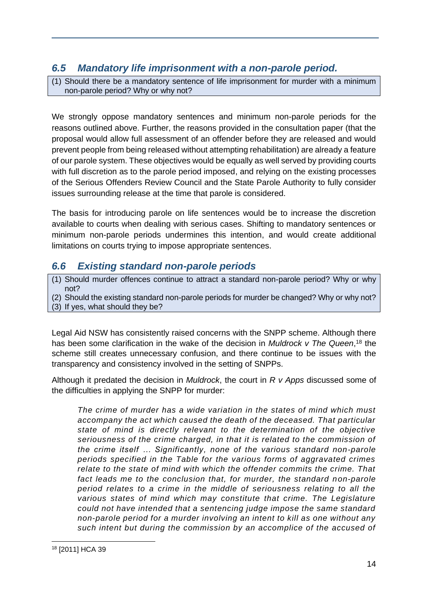## *6.5 Mandatory life imprisonment with a non-parole period.*

(1) Should there be a mandatory sentence of life imprisonment for murder with a minimum non-parole period? Why or why not?

We strongly oppose mandatory sentences and minimum non-parole periods for the reasons outlined above. Further, the reasons provided in the consultation paper (that the proposal would allow full assessment of an offender before they are released and would prevent people from being released without attempting rehabilitation) are already a feature of our parole system. These objectives would be equally as well served by providing courts with full discretion as to the parole period imposed, and relying on the existing processes of the Serious Offenders Review Council and the State Parole Authority to fully consider issues surrounding release at the time that parole is considered.

The basis for introducing parole on life sentences would be to increase the discretion available to courts when dealing with serious cases. Shifting to mandatory sentences or minimum non-parole periods undermines this intention, and would create additional limitations on courts trying to impose appropriate sentences.

## *6.6 Existing standard non-parole periods*

- (1) Should murder offences continue to attract a standard non-parole period? Why or why not?
- (2) Should the existing standard non-parole periods for murder be changed? Why or why not? (3) If yes, what should they be?

Legal Aid NSW has consistently raised concerns with the SNPP scheme. Although there has been some clarification in the wake of the decision in *Muldrock v The Queen*, <sup>18</sup> the scheme still creates unnecessary confusion, and there continue to be issues with the transparency and consistency involved in the setting of SNPPs.

Although it predated the decision in *Muldrock*, the court in *R v Apps* discussed some of the difficulties in applying the SNPP for murder:

*The crime of murder has a wide variation in the states of mind which must accompany the act which caused the death of the deceased. That particular state of mind is directly relevant to the determination of the objective seriousness of the crime charged, in that it is related to the commission of the crime itself … Significantly, none of the various standard non-parole periods specified in the Table for the various forms of aggravated crimes relate to the state of mind with which the offender commits the crime. That*  fact leads me to the conclusion that, for murder, the standard non-parole *period relates to a crime in the middle of seriousness relating to all the various states of mind which may constitute that crime. The Legislature could not have intended that a sentencing judge impose the same standard non-parole period for a murder involving an intent to kill as one without any such intent but during the commission by an accomplice of the accused of* 

<sup>18</sup> [2011] HCA 39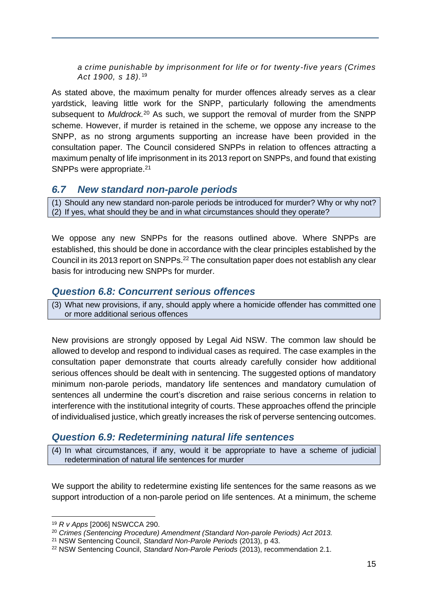*a crime punishable by imprisonment for life or for twenty-five years (Crimes Act 1900, s 18).*<sup>19</sup>

As stated above, the maximum penalty for murder offences already serves as a clear yardstick, leaving little work for the SNPP, particularly following the amendments subsequent to *Muldrock.*<sup>20</sup> As such, we support the removal of murder from the SNPP scheme. However, if murder is retained in the scheme, we oppose any increase to the SNPP, as no strong arguments supporting an increase have been provided in the consultation paper. The Council considered SNPPs in relation to offences attracting a maximum penalty of life imprisonment in its 2013 report on SNPPs, and found that existing SNPPs were appropriate.<sup>21</sup>

#### *6.7 New standard non-parole periods*

(1) Should any new standard non-parole periods be introduced for murder? Why or why not? (2) If yes, what should they be and in what circumstances should they operate?

We oppose any new SNPPs for the reasons outlined above. Where SNPPs are established, this should be done in accordance with the clear principles established by the Council in its 2013 report on SNPPs.<sup>22</sup> The consultation paper does not establish any clear basis for introducing new SNPPs for murder.

#### *Question 6.8: Concurrent serious offences*

(3) What new provisions, if any, should apply where a homicide offender has committed one or more additional serious offences

New provisions are strongly opposed by Legal Aid NSW. The common law should be allowed to develop and respond to individual cases as required. The case examples in the consultation paper demonstrate that courts already carefully consider how additional serious offences should be dealt with in sentencing. The suggested options of mandatory minimum non-parole periods, mandatory life sentences and mandatory cumulation of sentences all undermine the court's discretion and raise serious concerns in relation to interference with the institutional integrity of courts. These approaches offend the principle of individualised justice, which greatly increases the risk of perverse sentencing outcomes.

## *Question 6.9: Redetermining natural life sentences*

(4) In what circumstances, if any, would it be appropriate to have a scheme of judicial redetermination of natural life sentences for murder

We support the ability to redetermine existing life sentences for the same reasons as we support introduction of a non-parole period on life sentences. At a minimum, the scheme

<sup>19</sup> *R v Apps* [2006] NSWCCA 290.

<sup>20</sup> *Crimes (Sentencing Procedure) Amendment (Standard Non-parole Periods) Act 2013.*

<sup>21</sup> NSW Sentencing Council, *Standard Non-Parole Periods* (2013), p 43.

<sup>22</sup> NSW Sentencing Council, *Standard Non-Parole Periods* (2013), recommendation 2.1.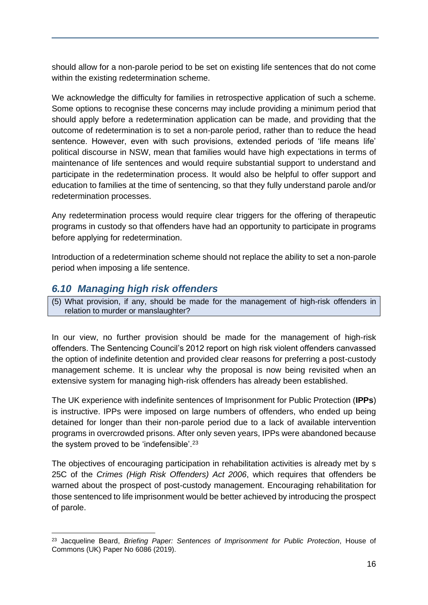should allow for a non-parole period to be set on existing life sentences that do not come within the existing redetermination scheme.

We acknowledge the difficulty for families in retrospective application of such a scheme. Some options to recognise these concerns may include providing a minimum period that should apply before a redetermination application can be made, and providing that the outcome of redetermination is to set a non-parole period, rather than to reduce the head sentence. However, even with such provisions, extended periods of 'life means life' political discourse in NSW, mean that families would have high expectations in terms of maintenance of life sentences and would require substantial support to understand and participate in the redetermination process. It would also be helpful to offer support and education to families at the time of sentencing, so that they fully understand parole and/or redetermination processes.

Any redetermination process would require clear triggers for the offering of therapeutic programs in custody so that offenders have had an opportunity to participate in programs before applying for redetermination.

Introduction of a redetermination scheme should not replace the ability to set a non-parole period when imposing a life sentence.

## *6.10 Managing high risk offenders*

(5) What provision, if any, should be made for the management of high-risk offenders in relation to murder or manslaughter?

In our view, no further provision should be made for the management of high-risk offenders. The Sentencing Council's 2012 report on high risk violent offenders canvassed the option of indefinite detention and provided clear reasons for preferring a post-custody management scheme. It is unclear why the proposal is now being revisited when an extensive system for managing high-risk offenders has already been established.

The UK experience with indefinite sentences of Imprisonment for Public Protection (**IPPs**) is instructive. IPPs were imposed on large numbers of offenders, who ended up being detained for longer than their non-parole period due to a lack of available intervention programs in overcrowded prisons. After only seven years, IPPs were abandoned because the system proved to be 'indefensible'.<sup>23</sup>

The objectives of encouraging participation in rehabilitation activities is already met by s 25C of the *Crimes (High Risk Offenders) Act 2006*, which requires that offenders be warned about the prospect of post-custody management. Encouraging rehabilitation for those sentenced to life imprisonment would be better achieved by introducing the prospect of parole.

<sup>23</sup> Jacqueline Beard, *Briefing Paper: Sentences of Imprisonment for Public Protection*, House of Commons (UK) Paper No 6086 (2019).